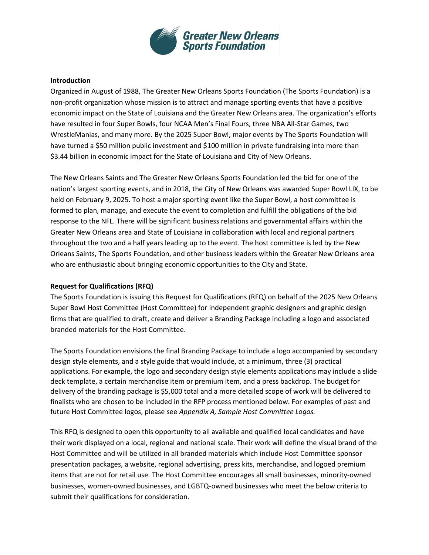

## **Introduction**

Organized in August of 1988, The Greater New Orleans Sports Foundation (The Sports Foundation) is a non-profit organization whose mission is to attract and manage sporting events that have a positive economic impact on the State of Louisiana and the Greater New Orleans area. The organization's efforts have resulted in four Super Bowls, four NCAA Men's Final Fours, three NBA All-Star Games, two WrestleManias, and many more. By the 2025 Super Bowl, major events by The Sports Foundation will have turned a \$50 million public investment and \$100 million in private fundraising into more than \$3.44 billion in economic impact for the State of Louisiana and City of New Orleans.

The New Orleans Saints and The Greater New Orleans Sports Foundation led the bid for one of the nation's largest sporting events, and in 2018, the City of New Orleans was awarded Super Bowl LIX, to be held on February 9, 2025. To host a major sporting event like the Super Bowl, a host committee is formed to plan, manage, and execute the event to completion and fulfill the obligations of the bid response to the NFL. There will be significant business relations and governmental affairs within the Greater New Orleans area and State of Louisiana in collaboration with local and regional partners throughout the two and a half years leading up to the event. The host committee is led by the New Orleans Saints, The Sports Foundation, and other business leaders within the Greater New Orleans area who are enthusiastic about bringing economic opportunities to the City and State.

## **Request for Qualifications (RFQ)**

The Sports Foundation is issuing this Request for Qualifications (RFQ) on behalf of the 2025 New Orleans Super Bowl Host Committee (Host Committee) for independent graphic designers and graphic design firms that are qualified to draft, create and deliver a Branding Package including a logo and associated branded materials for the Host Committee.

The Sports Foundation envisions the final Branding Package to include a logo accompanied by secondary design style elements, and a style guide that would include, at a minimum, three (3) practical applications. For example, the logo and secondary design style elements applications may include a slide deck template, a certain merchandise item or premium item, and a press backdrop. The budget for delivery of the branding package is \$5,000 total and a more detailed scope of work will be delivered to finalists who are chosen to be included in the RFP process mentioned below. For examples of past and future Host Committee logos, please see *Appendix A, Sample Host Committee Logos.*

This RFQ is designed to open this opportunity to all available and qualified local candidates and have their work displayed on a local, regional and national scale. Their work will define the visual brand of the Host Committee and will be utilized in all branded materials which include Host Committee sponsor presentation packages, a website, regional advertising, press kits, merchandise, and logoed premium items that are not for retail use. The Host Committee encourages all small businesses, minority-owned businesses, women-owned businesses, and LGBTQ-owned businesses who meet the below criteria to submit their qualifications for consideration.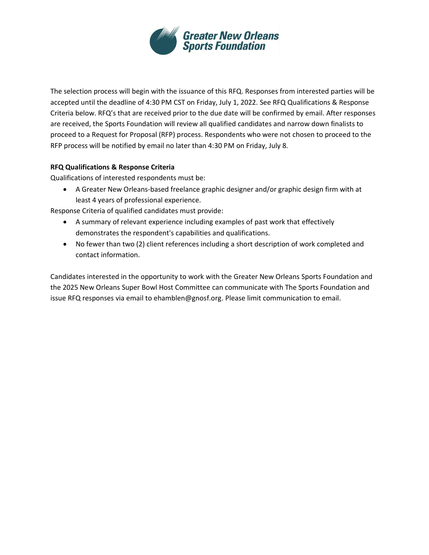

The selection process will begin with the issuance of this RFQ. Responses from interested parties will be accepted until the deadline of 4:30 PM CST on Friday, July 1, 2022. See RFQ Qualifications & Response Criteria below. RFQ's that are received prior to the due date will be confirmed by email. After responses are received, the Sports Foundation will review all qualified candidates and narrow down finalists to proceed to a Request for Proposal (RFP) process. Respondents who were not chosen to proceed to the RFP process will be notified by email no later than 4:30 PM on Friday, July 8.

## **RFQ Qualifications & Response Criteria**

Qualifications of interested respondents must be:

• A Greater New Orleans-based freelance graphic designer and/or graphic design firm with at least 4 years of professional experience.

Response Criteria of qualified candidates must provide:

- A summary of relevant experience including examples of past work that effectively demonstrates the respondent's capabilities and qualifications.
- No fewer than two (2) client references including a short description of work completed and contact information.

Candidates interested in the opportunity to work with the Greater New Orleans Sports Foundation and the 2025 New Orleans Super Bowl Host Committee can communicate with The Sports Foundation and issue RFQ responses via email to ehamblen@gnosf.org. Please limit communication to email.